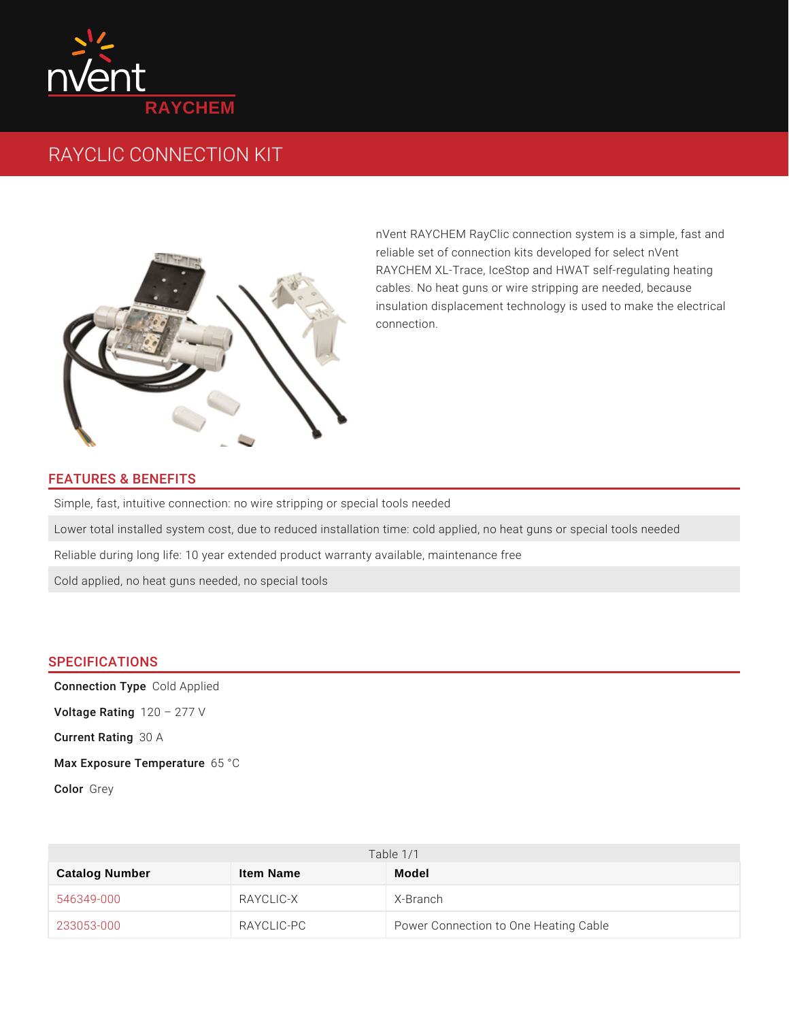

## RAYCLIC CONNECTION KIT

nVent RAYCHEM RayClic connection system is reliable set of connection kits developed for s RAYCHEM XL-Trace, IceStop and HWAT self-re cables. No heat guns or wire stripping are nee insulation displacement technology is used to connection.

## FEATURES & BENEFITS

Simple, fast, intuitive connection: no wire stripping or special tools needed Lower total installed system cost, due to reduced installation time: cold applied, no Reliable during long life: 10 year extended product warranty available, maintenane Cold applied, no heat guns needed, no special tools

## SPECIFICATIONS

Connection CToylpde Applied Voltage Rat2iong 277 V Current R & DinAg Max Exposure Tem6p5e faCture ColoGrey

| Table 1/1      |                                  |                                       |
|----------------|----------------------------------|---------------------------------------|
| Catalog Number | Item Name                        | Model                                 |
| 546349-000     | $R$ $A$ $Y$ $C$ $L$ $I$ $C$ $ X$ | X - Branch                            |
| 233053-000     | RAYCLIC-PC                       | Power Connection to One Heating Cable |